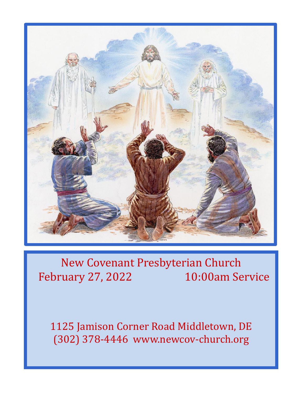

# New Covenant Presbyterian Church February 27, 2022 10:00am Service

1125 Jamison Corner Road Middletown, DE (302) 378-4446 www.newcov-church.org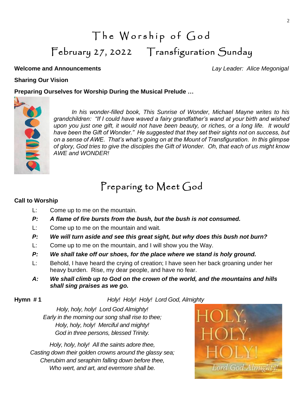# The Worship of God February 27, 2022 Transfiguration Sunday

#### **Welcome and Announcements** *Lay Leader: Alice Megonigal*

### **Sharing Our Vision**

### **Preparing Ourselves for Worship During the Musical Prelude …**



*In his wonder-filled book, This Sunrise of Wonder, Michael Mayne writes to his grandchildren: "If I could have waved a fairy grandfather's wand at your birth and wished upon you just one gift, it would not have been beauty, or riches, or a long life. It would have been the Gift of Wonder." He suggested that they set their sights not on success, but on a sense of AWE. That's what's going on at the Mount of Transfiguration. In this glimpse of glory, God tries to give the disciples the Gift of Wonder. Oh, that each of us might know AWE and WONDER!*

## Preparing to Meet God

#### **Call to Worship**

- L: Come up to me on the mountain.
- *P: A flame of fire bursts from the bush, but the bush is not consumed.*
- L: Come up to me on the mountain and wait.
- *P: We will turn aside and see this great sight, but why does this bush not burn?*
- L: Come up to me on the mountain, and I will show you the Way.
- *P: We shall take off our shoes, for the place where we stand is holy ground.*
- L: Behold, I have heard the crying of creation; I have seen her back groaning under her heavy burden. Rise, my dear people, and have no fear.
- *A: We shall climb up to God on the crown of the world, and the mountains and hills shall sing praises as we go.*

#### **Hymn # 1** *Holy! Holy! Holy! Lord God, Almighty*

*Holy, holy, holy! Lord God Almighty! Early in the morning our song shall rise to thee; Holy, holy, holy! Merciful and mighty! God in three persons, blessed Trinity.*

*Holy, holy, holy! All the saints adore thee, Casting down their golden crowns around the glassy sea; Cherubim and seraphim falling down before thee, Who wert, and art, and evermore shall be.*

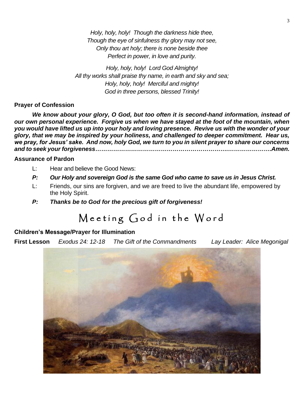*Holy, holy, holy! Though the darkness hide thee, Though the eye of sinfulness thy glory may not see, Only thou art holy; there is none beside thee Perfect in power, in love and purity.*

*Holy, holy, holy! Lord God Almighty! All thy works shall praise thy name, in earth and sky and sea; Holy, holy, holy! Merciful and mighty! God in three persons, blessed Trinity!*

#### **Prayer of Confession**

*We know about your glory, O God, but too often it is second-hand information, instead of our own personal experience. Forgive us when we have stayed at the foot of the mountain, when you would have lifted us up into your holy and loving presence. Revive us with the wonder of your glory, that we may be inspired by your holiness, and challenged to deeper commitment. Hear us, we pray, for Jesus' sake. And now, holy God, we turn to you in silent prayer to share our concerns and to seek your forgiveness………………………………………………………….………………….Amen.*

#### **Assurance of Pardon**

- L: Hear and believe the Good News:
- *P: Our Holy and sovereign God is the same God who came to save us in Jesus Christ.*
- L: Friends, our sins are forgiven, and we are freed to live the abundant life, empowered by the Holy Spirit.
- *P: Thanks be to God for the precious gift of forgiveness!*

## Meeting God in the Word

#### **Children's Message/Prayer for Illumination**

**First Lesson** *Exodus 24: 12-18 The Gift of the Commandments Lay Leader: Alice Megonigal*

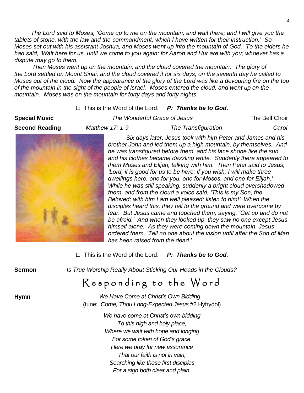*The Lord said to Moses, 'Come up to me on the mountain, and wait there; and I will give you the tablets of stone, with the law and the commandment, which I have written for their instruction.' So Moses set out with his assistant Joshua, and Moses went up into the mountain of God. To the elders he had said, 'Wait here for us, until we come to you again; for Aaron and Hur are with you; whoever has a dispute may go to them.'*

*Then Moses went up on the mountain, and the cloud covered the mountain. The glory of the Lord settled on Mount Sinai, and the cloud covered it for six days; on the seventh day he called to Moses out of the cloud. Now the appearance of the glory of the Lord was like a devouring fire on the top of the mountain in the sight of the people of Israel. Moses entered the cloud, and went up on the mountain. Moses was on the mountain for forty days and forty nights.*

#### L: This is the Word of the Lord. *P: Thanks be to God.*

**Special Music** *The Wonderful Grace of Jesus* The Bell Choir **Second Reading** *Matthew 17: 1-9 The Transfiguration Carol*



 *Six days later, Jesus took with him Peter and James and his brother John and led them up a high mountain, by themselves. And he was transfigured before them, and his face shone like the sun, and his clothes became dazzling white. Suddenly there appeared to them Moses and Elijah, talking with him. Then Peter said to Jesus, 'Lord, it is good for us to be here; if you wish, I will make three dwellings here, one for you, one for Moses, and one for Elijah.' While he was still speaking, suddenly a bright cloud overshadowed them, and from the cloud a voice said, 'This is my Son, the Beloved; with him I am well pleased; listen to him!' When the disciples heard this, they fell to the ground and were overcome by fear. But Jesus came and touched them, saying, 'Get up and do not be afraid.' And when they looked up, they saw no one except Jesus himself alone. As they were coming down the mountain, Jesus ordered them, 'Tell no one about the vision until after the Son of Man has been raised from the dead.'*

|               | L: This is the Word of the Lord. P: Thanks be to God.                                                       |  |
|---------------|-------------------------------------------------------------------------------------------------------------|--|
| <b>Sermon</b> | Is True Worship Really About Sticking Our Heads in the Clouds?                                              |  |
|               | Responding to the Word                                                                                      |  |
| <b>Hymn</b>   | We Have Come at Christ's Own Bidding<br>(tune: Come, Thou Long-Expected Jesus #2 Hyfrydol)                  |  |
|               | We have come at Christ's own bidding<br>To this high and holy place,<br>Where we wait with hope and longing |  |
|               | For some token of God's grace.<br>Here we pray for new assurance                                            |  |

*That our faith is not in vain, Searching like those first disciples For a sign both clear and plain.*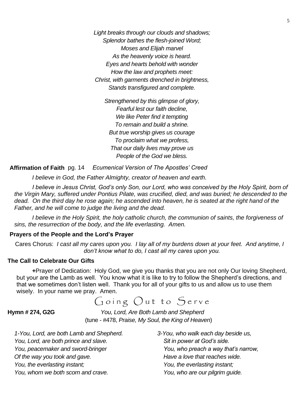*Light breaks through our clouds and shadows; Splendor bathes the flesh-joined Word; Moses and Elijah marvel As the heavenly voice is heard. Eyes and hearts behold with wonder How the law and prophets meet: Christ, with garments drenched in brightness, Stands transfigured and complete.*

*Strengthened by this glimpse of glory, Fearful lest our faith decline, We like Peter find it tempting To remain and build a shrine. But true worship gives us courage To proclaim what we profess, That our daily lives may prove us People of the God we bless.*

**Affirmation of Faith** pg. 14*Ecumenical Version of The Apostles' Creed*

*I believe in God, the Father Almighty, creator of heaven and earth.*

*I believe in Jesus Christ, God's only Son, our Lord, who was conceived by the Holy Spirit, born of the Virgin Mary, suffered under Pontius Pilate, was crucified, died, and was buried; he descended to the dead.* On the third day he rose again; he ascended into heaven, he is seated at the right hand of the *Father, and he will come to judge the living and the dead.*

*I believe in the Holy Spirit, the holy catholic church, the communion of saints, the forgiveness of sins, the resurrection of the body, and the life everlasting. Amen.*

#### **Prayers of the People and the Lord's Prayer**

Cares Chorus: *I cast all my cares upon you. I lay all of my burdens down at your feet. And anytime, I don't know what to do, I cast all my cares upon you.*

#### **The Call to Celebrate Our Gifts**

**+**Prayer of Dedication: Holy God, we give you thanks that you are not only Our loving Shepherd, but your are the Lamb as well. You know what it is like to try to follow the Shepherd's directions, and that we sometimes don't listen well. Thank you for all of your gifts to us and allow us to use them wisely. In your name we pray. Amen.

## Going Out to Serve

**Hymn # 274, G2G** *You, Lord, Are Both Lamb and Shepherd* (tune - #478, *Praise, My Soul, the King of Heaven*)

*1-You, Lord, are both Lamb and Shepherd. 3-You, who walk each day beside us, You, Lord, are both prince and slave.* Sit in power at God's side. *You, peacemaker and sword-bringer You, who preach a way that's narrow, Of the way you took and gave.* Here a love that reaches wide. *You, the everlasting instant; You, the everlasting instant; You, whom we both scorn and crave. You, who are our pilgrim guide.*